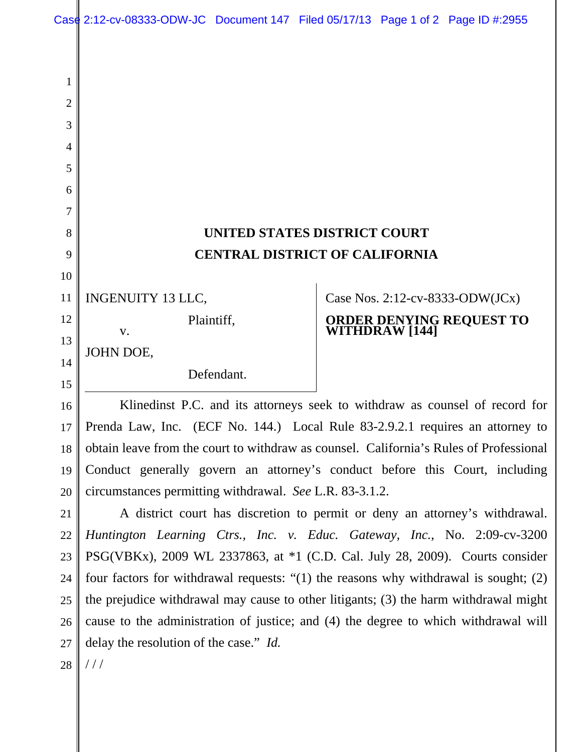## **UNITED STATES DISTRICT COURT CENTRAL DISTRICT OF CALIFORNIA**

Case Nos. 2:12-cv-8333-ODW(JCx)

**WITHDRAW [144]** 

**ORDER DENYING REQUEST TO** 

INGENUITY 13 LLC, 11

Plaintiff,

Defendant.

JOHN DOE,

v.

14 15

16

17

18

19

20

21

23

1

2

3

4

5

6

7

8

9

10

12

13

Klinedinst P.C. and its attorneys seek to withdraw as counsel of record for Prenda Law, Inc. (ECF No. 144.) Local Rule 83-2.9.2.1 requires an attorney to

obtain leave from the court to withdraw as counsel. California's Rules of Professional Conduct generally govern an attorney's conduct before this Court, including circumstances permitting withdrawal. *See* L.R. 83-3.1.2.

A district court has discretion to permit or deny an attorney's withdrawal. *Huntington Learning Ctrs., Inc. v. Educ. Gateway, Inc.*, No. 2:09-cv-3200 PSG(VBKx), 2009 WL 2337863, at \*1 (C.D. Cal. July 28, 2009). Courts consider four factors for withdrawal requests: "(1) the reasons why withdrawal is sought; (2) the prejudice withdrawal may cause to other litigants; (3) the harm withdrawal might cause to the administration of justice; and (4) the degree to which withdrawal will delay the resolution of the case." *Id.*  22 24 25 26

 $///$ 28

27